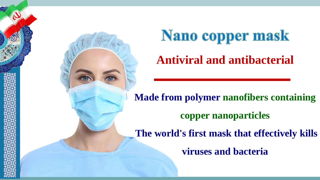



**Antiviral and antibacterial**

**Made from polymer nanofibers containing copper nanoparticles The world's first mask that effectively kills** 

**viruses and bacteria**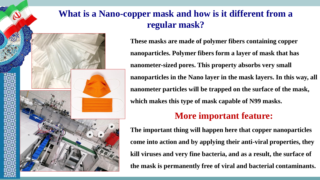## **What is a Nano-copper mask and how is it different from a regular mask?**



**These masks are made of polymer fibers containing copper nanoparticles. Polymer fibers form a layer of mask that has nanometer-sized pores. This property absorbs very small nanoparticles in the Nano layer in the mask layers. In this way, all nanometer particles will be trapped on the surface of the mask, which makes this type of mask capable of N99 masks.**

### **More important feature:**

**The important thing will happen here that copper nanoparticles come into action and by applying their anti-viral properties, they kill viruses and very fine bacteria, and as a result, the surface of the mask is permanently free of viral and bacterial contaminants.**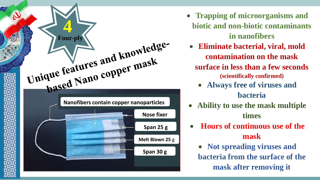

- **Trapping of microorganisms and biotic and non-biotic contaminants in nanofibers**
- **Eliminate bacterial, viral, mold contamination on the mask surface in less than a few seconds (scientifically confirmed)**
	- **Always free of viruses and bacteria**
- **Ability to use the mask multiple times**
- **Hours of continuous use of the mask**
	- **Not spreading viruses and bacteria from the surface of the mask after removing it**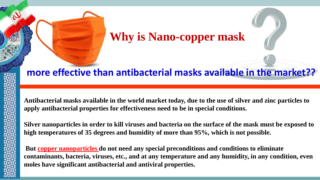# **Why is Nano-copper mask**

#### **more effective than antibacterial masks available in the market??**

**Antibacterial masks available in the world market today, due to the use of silver and zinc particles to apply antibacterial properties for effectiveness need to be in special conditions.**

**Silver nanoparticles in order to kill viruses and bacteria on the surface of the mask must be exposed to high temperatures of 35 degrees and humidity of more than 95%, which is not possible.**

**But copper nanoparticles do not need any special preconditions and conditions to eliminate contaminants, bacteria, viruses, etc., and at any temperature and any humidity, in any condition, even moles have significant antibacterial and antiviral properties.**